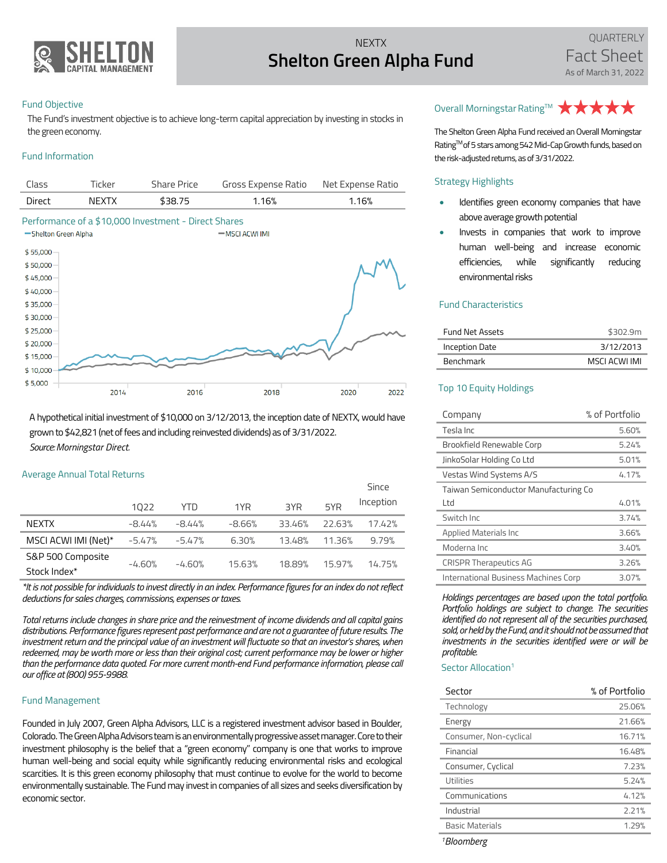

## **NEXTX Shelton Green Alpha Fund**

#### Fund Objective

The Fund's investment objective is to achieve long-term capital appreciation by investing in stocks in the green economy.

### Fund Information

| Class  | Ticker | Share Price | Gross Expense Ratio Net Expense Ratio |       |
|--------|--------|-------------|---------------------------------------|-------|
| Direct | NFXTX  | \$38.75     | 1.16%                                 | 1.16% |
|        |        |             |                                       |       |



A hypothetical initial investment of \$10,000 on 3/12/2013, the inception date of NEXTX, would have grown to \$42,821(net of fees and including reinvested dividends) as of 3/31/2022. *Source:Morningstar Direct.*

#### Average Annual Total Returns

|                      |          |          |          |        |        | Since     |
|----------------------|----------|----------|----------|--------|--------|-----------|
|                      | 1022     | YTD      | 1YR      | 3YR    | 5YR    | Inception |
| <b>NEXTX</b>         | $-8.44%$ | -8.44%   | $-8.66%$ | 33.46% | 22.63% | 17.42%    |
| MSCI ACWI IMI (Net)* | $-5.47%$ | $-5.47%$ | 6.30%    | 13.48% | 11.36% | 9.79%     |
| S&P 500 Composite    |          |          |          |        |        |           |
| Stock Index*         | $-4.60%$ | $-4.60%$ | 15.63%   | 18.89% | 15.97% | 14.75%    |

*\*It is not possible for individuals to invest directly in an index. Performance figures for an index do not reflect deductions for sales charges, commissions, expenses or taxes.* 

*Total returns include changes in share price and the reinvestment of income dividends and all capital gains distributions. Performance figures represent past performance and are not a guarantee of future results. The investment return and the principal value of an investment will fluctuate so that an investor's shares, when redeemed, may be worth more or less than their original cost; current performance may be lower or higher than the performance data quoted. For more current month-end Fund performance information, please call our office at (800) 955-9988.*

#### Fund Management

Founded in July 2007, Green Alpha Advisors, LLC is a registered investment advisor based in Boulder, Colorado. The Green Alpha Advisors team is an environmentally progressive asset manager. Core to their investment philosophy is the belief that a "green economy" company is one that works to improve human well-being and social equity while significantly reducing environmental risks and ecological scarcities. It is this green economy philosophy that must continue to evolve for the world to become environmentally sustainable. The Fund may invest in companies of all sizes and seeks diversification by economic sector.

# Overall Morningstar Rating™ ★ ★ ★ ★ ★

The Shelton Green Alpha Fund received an Overall Morningstar Rating™ of 5 stars among 542 Mid-Cap Growth funds, based on the risk-adjusted returns, as of 3/31/2022.

#### Strategy Highlights

- Identifies green economy companies that have above average growth potential
- Invests in companies that work to improve human well-being and increase economic efficiencies, while significantly reducing environmental risks

#### Fund Characteristics

| <b>Fund Net Assets</b> | \$302.9m    |
|------------------------|-------------|
| Inception Date         | 3/12/2013   |
| <b>Benchmark</b>       | MSCLACWLIML |

### Top 10 Equity Holdings

| Company                               | % of Portfolio |  |  |
|---------------------------------------|----------------|--|--|
| Tesla Inc                             | 5.60%          |  |  |
| Brookfield Renewable Corp             | 5.24%          |  |  |
| JinkoSolar Holding Co Ltd             | 5.01%          |  |  |
| Vestas Wind Systems A/S               | 4.17%          |  |  |
| Taiwan Semiconductor Manufacturing Co |                |  |  |
| Ltd                                   | 4.01%          |  |  |
| Switch Inc                            | 3.74%          |  |  |
| Applied Materials Inc                 | 3.66%          |  |  |
| Moderna Inc                           | 3.40%          |  |  |
| <b>CRISPR Therapeutics AG</b>         | 3.26%          |  |  |
| International Business Machines Corp  | 3.07%          |  |  |

*Holdings percentages are based upon the total portfolio. Portfolio holdings are subject to change. The securities identified do not represent all of the securities purchased, sold, or held by the Fund, and it should not be assumed that investments in the securities identified were or will be profitable.*

#### Sector Allocation<sup>1</sup>

| Sector                 | % of Portfolio |
|------------------------|----------------|
| Technology             | 25.06%         |
| Energy                 | 21.66%         |
| Consumer, Non-cyclical | 16.71%         |
| Financial              | 16.48%         |
| Consumer, Cyclical     | 7.23%          |
| Utilities              | 5.24%          |
| Communications         | 4.12%          |
| Industrial             | 2.21%          |
| <b>Basic Materials</b> | 1.29%          |

*<sup>1</sup>Bloomberg*